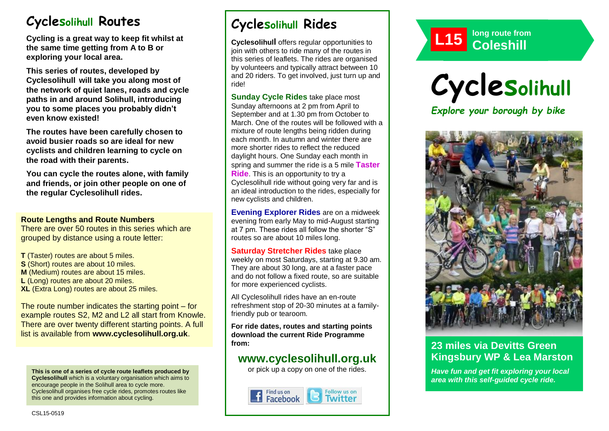# **Cyclesolihull Routes**

**Cycling is a great way to keep fit whilst at the same time getting from A to B or exploring your local area.** 

**This series of routes, developed by Cyclesolihull will take you along most of the network of quiet lanes, roads and cycle paths in and around Solihull, introducing you to some places you probably didn't even know existed!**

**The routes have been carefully chosen to avoid busier roads so are ideal for new cyclists and children learning to cycle on the road with their parents.** 

**You can cycle the routes alone, with family and friends, or join other people on one of the regular Cyclesolihull rides.**

### **Route Lengths and Route Numbers**

There are over 50 routes in this series which are grouped by distance using a route letter:

**T** (Taster) routes are about 5 miles. **S** (Short) routes are about 10 miles. **M** (Medium) routes are about 15 miles. **L** (Long) routes are about 20 miles. **XL** (Extra Long) routes are about 25 miles.

The route number indicates the starting point – for example routes S2, M2 and L2 all start from Knowle. There are over twenty different starting points. A full list is available from **www.cyclesolihull.org.uk**.

**This is one of a series of cycle route leaflets produced by Cyclesolihull** which is a voluntary organisation which aims to encourage people in the Solihull area to cycle more. Cyclesolihull organises free cycle rides, promotes routes like this one and provides information about cycling.

# **Cyclesolihull Rides**

**Cyclesolihull** offers regular opportunities to join with others to ride many of the routes in this series of leaflets. The rides are organised by volunteers and typically attract between 10 and 20 riders. To get involved, just turn up and ride!

**Sunday Cycle Rides** take place most Sunday afternoons at 2 pm from April to September and at 1.30 pm from October to March. One of the routes will be followed with a mixture of route lengths being ridden during each month. In autumn and winter there are more shorter rides to reflect the reduced daylight hours. One Sunday each month in spring and summer the ride is a 5 mile **Taster Ride**. This is an opportunity to try a Cyclesolihull ride without going very far and is an ideal introduction to the rides, especially for new cyclists and children.

**Evening Explorer Rides** are on a midweek evening from early May to mid-August starting at 7 pm. These rides all follow the shorter "S" routes so are about 10 miles long.

**Saturday Stretcher Rides** take place weekly on most Saturdays, starting at 9.30 am. They are about 30 long, are at a faster pace and do not follow a fixed route, so are suitable for more experienced cyclists.

All Cyclesolihull rides have an en-route refreshment stop of 20-30 minutes at a familyfriendly pub or tearoom.

**For ride dates, routes and starting points download the current Ride Programme from:** 

## **www.cyclesolihull.org.uk**

or pick up a copy on one of the rides.









### **23 miles via Devitts Green Kingsbury WP & Lea Marston**

*Have fun and get fit exploring your local area with this self-guided cycle ride.*